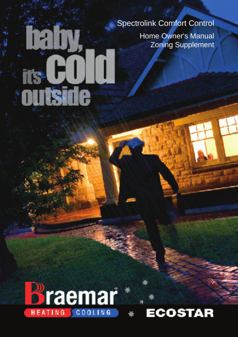### Spectrolink Comfort Control

Home Owner's Manual Zoning Supplement



**any** 

**ECO** 

# ECOSTAR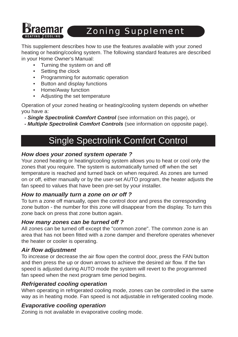

## Zoning Supplement

This supplement describes how to use the features available with your zoned heating or heating/cooling system. The following standard features are described in your Home Owner's Manual:

- Turning the system on and off
- Setting the clock
- • Programming for automatic operation
- • Button and display functions
- • Home/Away function
- • Adjusting the set temperature

Operation of your zoned heating or heating/cooling system depends on whether you have a:

 *- Single Spectrolink Comfort Control* (see information on this page), or

 *- Multiple Spectrolink Comfort Controls* (see information on opposite page).

## Single Spectrolink Comfort Control

### *How does your zoned system operate ?*

Your zoned heating or heating/cooling system allows you to heat or cool only the zones that you require. The system is automatically turned off when the set temperature is reached and turned back on when required. As zones are turned on or off, either manually or by the user-set AUTO program, the heater adjusts the fan speed to values that have been pre-set by your installer.

### *How to manually turn a zone on or off ?*

To turn a zone off manually, open the control door and press the corresponding zone button - the number for this zone will disappear from the display. To turn this zone back on press that zone button again.

### *How many zones can be turned off ?*

All zones can be turned off except the "common zone". The common zone is an area that has not been fitted with a zone damper and therefore operates whenever the heater or cooler is operating.

### *Air flow adjustment*

To increase or decrease the air flow open the control door, press the FAN button and then press the up or down arrows to achieve the desired air flow. If the fan speed is adjusted during AUTO mode the system will revert to the programmed fan speed when the next program time period begins.

### *Refrigerated cooling operation*

When operating in refrigerated cooling mode, zones can be controlled in the same way as in heating mode. Fan speed is not adjustable in refrigerated cooling mode.

### *Evaporative cooling operation*

Zoning is not available in evaporative cooling mode.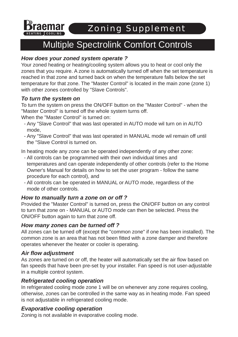

Zoning Supplement

### Multiple Spectrolink Comfort Controls

### *How does your zoned system operate ?*

Your zoned heating or heating/cooling system allows you to heat or cool only the zones that you require. A zone is automatically turned off when the set temperature is reached in that zone and turned back on when the temperature falls below the set temperature for that zone. The "Master Control" is located in the main zone (zone 1) with other zones controlled by "Slave Controls".

### *To turn the system on*

To turn the system on press the ON/OFF button on the "Master Control" - when the "Master Control" is turned off the whole system turns off.

When the "Master Control" is turned on:

- Any "Slave Control" that was last operated in AUTO mode wil turn on in AUTO mode,
- Any "Slave Control" that was last operated in MANUAL mode wil remain off until the "Slave Control is turned on.

In heating mode any zone can be operated independently of any other zone:

- All controls can be programmed with their own individual times and temperatures and can operate independently of other controls (refer to the Home Owner's Manual for details on how to set the user program - follow the same procedure for each control), and
- All controls can be operated in MANUAL or AUTO mode, regardless of the mode of other controls.

### *How to manually turn a zone on or off ?*

Provided the "Master Control" is turned on, press the ON/OFF button on any control to turn that zone on - MANUAL or AUTO mode can then be selected. Press the ON/OFF button again to turn that zone off.

### *How many zones can be turned off ?*

All zones can be turned off (except the "common zone" if one has been installed). The common zone is an area that has not been fitted with a zone damper and therefore operates whenever the heater or cooler is operating.

### *Air flow adjustment*

As zones are turned on or off, the heater will automatically set the air flow based on fan speeds that have been pre-set by your installer. Fan speed is not user-adjustable in a multiple control system.

### *Refrigerated cooling operation*

In refrigerated cooling mode zone 1 will be on whenever any zone requires cooling, otherwise, zones can be controlled in the same way as in heating mode. Fan speed is not adjustable in refrigerated cooling mode.

### *Evaporative cooling operation*

Zoning is not available in evaporative cooling mode.